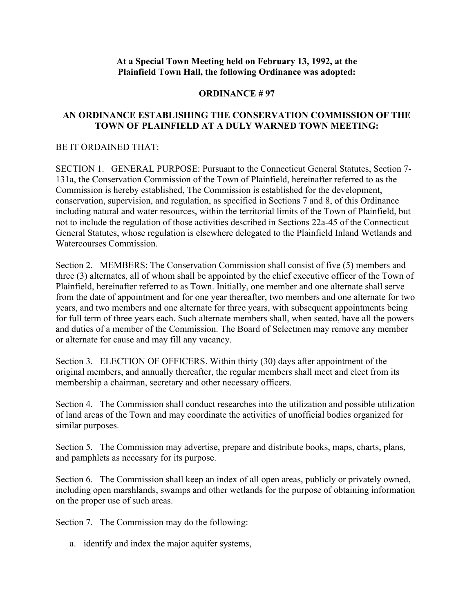## **At a Special Town Meeting held on February 13, 1992, at the Plainfield Town Hall, the following Ordinance was adopted:**

## **ORDINANCE # 97**

## **AN ORDINANCE ESTABLISHING THE CONSERVATION COMMISSION OF THE TOWN OF PLAINFIELD AT A DULY WARNED TOWN MEETING:**

## BE IT ORDAINED THAT:

SECTION 1. GENERAL PURPOSE: Pursuant to the Connecticut General Statutes, Section 7- 131a, the Conservation Commission of the Town of Plainfield, hereinafter referred to as the Commission is hereby established, The Commission is established for the development, conservation, supervision, and regulation, as specified in Sections 7 and 8, of this Ordinance including natural and water resources, within the territorial limits of the Town of Plainfield, but not to include the regulation of those activities described in Sections 22a-45 of the Connecticut General Statutes, whose regulation is elsewhere delegated to the Plainfield Inland Wetlands and Watercourses Commission.

Section 2. MEMBERS: The Conservation Commission shall consist of five (5) members and three (3) alternates, all of whom shall be appointed by the chief executive officer of the Town of Plainfield, hereinafter referred to as Town. Initially, one member and one alternate shall serve from the date of appointment and for one year thereafter, two members and one alternate for two years, and two members and one alternate for three years, with subsequent appointments being for full term of three years each. Such alternate members shall, when seated, have all the powers and duties of a member of the Commission. The Board of Selectmen may remove any member or alternate for cause and may fill any vacancy.

Section 3. ELECTION OF OFFICERS. Within thirty (30) days after appointment of the original members, and annually thereafter, the regular members shall meet and elect from its membership a chairman, secretary and other necessary officers.

Section 4. The Commission shall conduct researches into the utilization and possible utilization of land areas of the Town and may coordinate the activities of unofficial bodies organized for similar purposes.

Section 5. The Commission may advertise, prepare and distribute books, maps, charts, plans, and pamphlets as necessary for its purpose.

Section 6. The Commission shall keep an index of all open areas, publicly or privately owned, including open marshlands, swamps and other wetlands for the purpose of obtaining information on the proper use of such areas.

Section 7. The Commission may do the following:

a. identify and index the major aquifer systems,